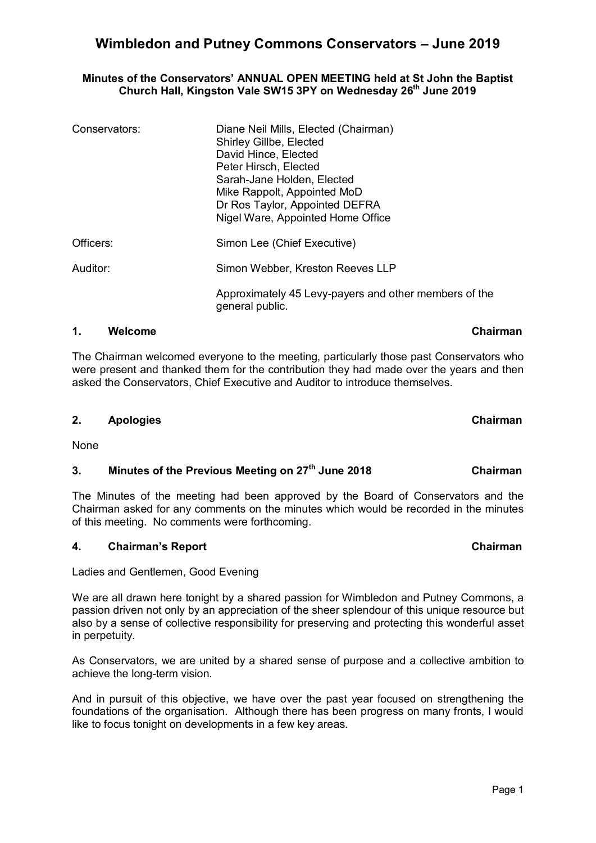## **Minutes of the Conservators' ANNUAL OPEN MEETING held at St John the Baptist Church Hall, Kingston Vale SW15 3PY on Wednesday 26th June 2019**

| Conservators: | Diane Neil Mills, Elected (Chairman)<br>Shirley Gillbe, Elected<br>David Hince, Elected<br>Peter Hirsch, Elected<br>Sarah-Jane Holden, Elected<br>Mike Rappolt, Appointed MoD<br>Dr Ros Taylor, Appointed DEFRA<br>Nigel Ware, Appointed Home Office |
|---------------|------------------------------------------------------------------------------------------------------------------------------------------------------------------------------------------------------------------------------------------------------|
| Officers:     | Simon Lee (Chief Executive)                                                                                                                                                                                                                          |
| Auditor:      | Simon Webber, Kreston Reeves LLP                                                                                                                                                                                                                     |
|               | Approximately 45 Levy-payers and other members of the<br>general public.                                                                                                                                                                             |

## **1. Welcome Chairman**

The Chairman welcomed everyone to the meeting, particularly those past Conservators who were present and thanked them for the contribution they had made over the years and then asked the Conservators, Chief Executive and Auditor to introduce themselves.

## **2. Apologies Chairman**

None

## **3. Minutes of the Previous Meeting on 27th June 2018 Chairman**

The Minutes of the meeting had been approved by the Board of Conservators and the Chairman asked for any comments on the minutes which would be recorded in the minutes of this meeting. No comments were forthcoming.

## **4.** Chairman's Report Chairman Chairman

Ladies and Gentlemen, Good Evening

We are all drawn here tonight by a shared passion for Wimbledon and Putney Commons, a passion driven not only by an appreciation of the sheer splendour of this unique resource but also by a sense of collective responsibility for preserving and protecting this wonderful asset in perpetuity.

As Conservators, we are united by a shared sense of purpose and a collective ambition to achieve the long-term vision.

And in pursuit of this objective, we have over the past year focused on strengthening the foundations of the organisation. Although there has been progress on many fronts, I would like to focus tonight on developments in a few key areas.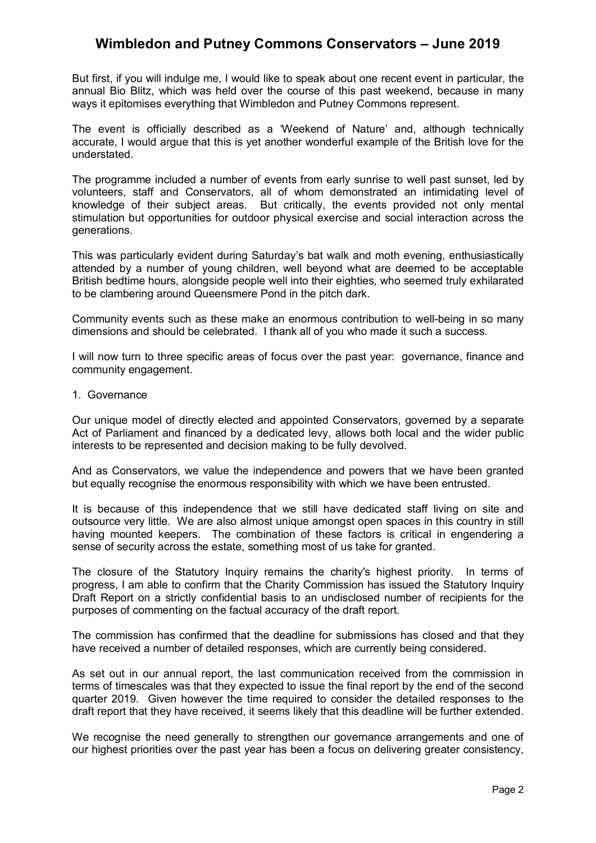But first, if you will indulge me, I would like to speak about one recent event in particular, the annual Bio Blitz, which was held over the course of this past weekend, because in many ways it epitomises everything that Wimbledon and Putney Commons represent.

The event is officially described as a 'Weekend of Nature' and, although technically accurate, I would argue that this is yet another wonderful example of the British love for the understated.

The programme included a number of events from early sunrise to well past sunset, led by volunteers, staff and Conservators, all of whom demonstrated an intimidating level of knowledge of their subject areas. But critically, the events provided not only mental stimulation but opportunities for outdoor physical exercise and social interaction across the generations.

This was particularly evident during Saturday's bat walk and moth evening, enthusiastically attended by a number of young children, well beyond what are deemed to be acceptable British bedtime hours, alongside people well into their eighties, who seemed truly exhilarated to be clambering around Queensmere Pond in the pitch dark.

Community events such as these make an enormous contribution to well-being in so many dimensions and should be celebrated. I thank all of you who made it such a success.

I will now turn to three specific areas of focus over the past year: governance, finance and community engagement.

1. Governance

Our unique model of directly elected and appointed Conservators, governed by a separate Act of Parliament and financed by a dedicated levy, allows both local and the wider public interests to be represented and decision making to be fully devolved.

And as Conservators, we value the independence and powers that we have been granted but equally recognise the enormous responsibility with which we have been entrusted.

It is because of this independence that we still have dedicated staff living on site and outsource very little. We are also almost unique amongst open spaces in this country in still having mounted keepers. The combination of these factors is critical in engendering a sense of security across the estate, something most of us take for granted.

The closure of the Statutory Inquiry remains the charity's highest priority. In terms of progress, I am able to confirm that the Charity Commission has issued the Statutory Inquiry Draft Report on a strictly confidential basis to an undisclosed number of recipients for the purposes of commenting on the factual accuracy of the draft report.

The commission has confirmed that the deadline for submissions has closed and that they have received a number of detailed responses, which are currently being considered.

As set out in our annual report, the last communication received from the commission in terms of timescales was that they expected to issue the final report by the end of the second quarter 2019. Given however the time required to consider the detailed responses to the draft report that they have received, it seems likely that this deadline will be further extended.

We recognise the need generally to strengthen our governance arrangements and one of our highest priorities over the past year has been a focus on delivering greater consistency,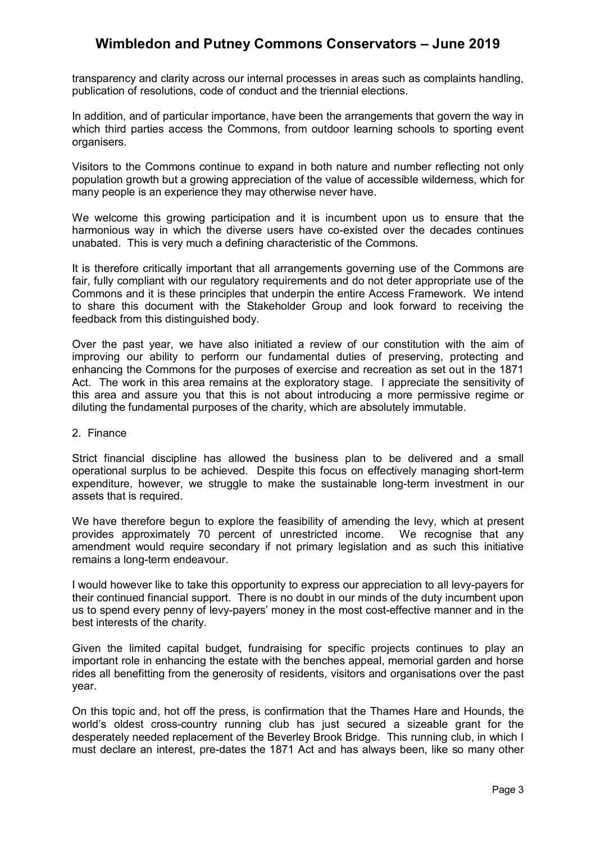transparency and clarity across our internal processes in areas such as complaints handling, publication of resolutions, code of conduct and the triennial elections.

In addition, and of particular importance, have been the arrangements that govern the way in which third parties access the Commons, from outdoor learning schools to sporting event organisers.

Visitors to the Commons continue to expand in both nature and number reflecting not only population growth but a growing appreciation of the value of accessible wilderness, which for many people is an experience they may otherwise never have.

We welcome this growing participation and it is incumbent upon us to ensure that the harmonious way in which the diverse users have co-existed over the decades continues unabated. This is very much a defining characteristic of the Commons.

It is therefore critically important that all arrangements governing use of the Commons are fair, fully compliant with our regulatory requirements and do not deter appropriate use of the Commons and it is these principles that underpin the entire Access Framework. We intend to share this document with the Stakeholder Group and look forward to receiving the feedback from this distinguished body.

Over the past year, we have also initiated a review of our constitution with the aim of improving our ability to perform our fundamental duties of preserving, protecting and enhancing the Commons for the purposes of exercise and recreation as set out in the 1871 Act. The work in this area remains at the exploratory stage. I appreciate the sensitivity of this area and assure you that this is not about introducing a more permissive regime or diluting the fundamental purposes of the charity, which are absolutely immutable.

2. Finance

Strict financial discipline has allowed the business plan to be delivered and a small operational surplus to be achieved. Despite this focus on effectively managing short-term expenditure, however, we struggle to make the sustainable long-term investment in our assets that is required.

We have therefore begun to explore the feasibility of amending the levy, which at present provides approximately 70 percent of unrestricted income. We recognise that any amendment would require secondary if not primary legislation and as such this initiative remains a long-term endeavour.

I would however like to take this opportunity to express our appreciation to all levy-payers for their continued financial support. There is no doubt in our minds of the duty incumbent upon us to spend every penny of levy-payers' money in the most cost-effective manner and in the best interests of the charity.

Given the limited capital budget, fundraising for specific projects continues to play an important role in enhancing the estate with the benches appeal, memorial garden and horse rides all benefitting from the generosity of residents, visitors and organisations over the past year.

On this topic and, hot off the press, is confirmation that the Thames Hare and Hounds, the world's oldest cross-country running club has just secured a sizeable grant for the desperately needed replacement of the Beverley Brook Bridge. This running club, in which I must declare an interest, pre-dates the 1871 Act and has always been, like so many other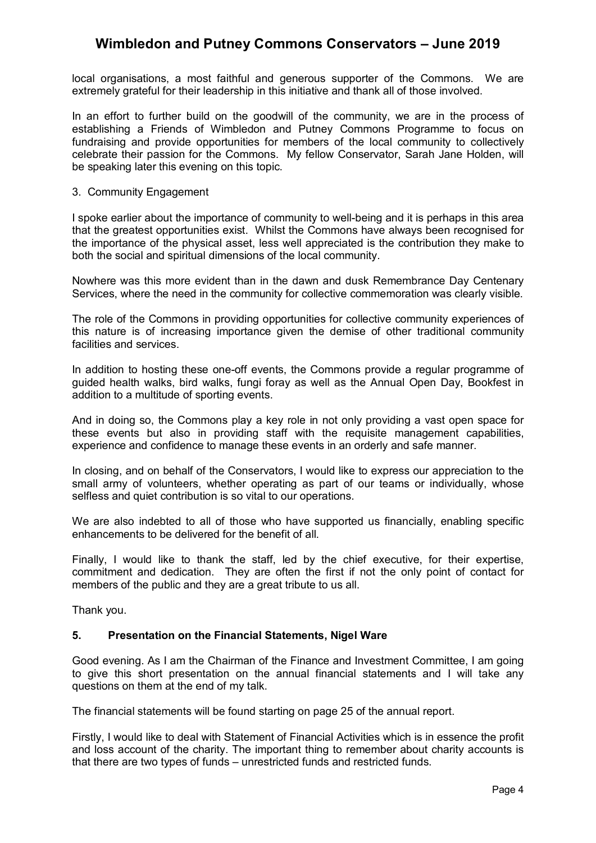local organisations, a most faithful and generous supporter of the Commons. We are extremely grateful for their leadership in this initiative and thank all of those involved.

In an effort to further build on the goodwill of the community, we are in the process of establishing a Friends of Wimbledon and Putney Commons Programme to focus on fundraising and provide opportunities for members of the local community to collectively celebrate their passion for the Commons. My fellow Conservator, Sarah Jane Holden, will be speaking later this evening on this topic.

#### 3. Community Engagement

I spoke earlier about the importance of community to well-being and it is perhaps in this area that the greatest opportunities exist. Whilst the Commons have always been recognised for the importance of the physical asset, less well appreciated is the contribution they make to both the social and spiritual dimensions of the local community.

Nowhere was this more evident than in the dawn and dusk Remembrance Day Centenary Services, where the need in the community for collective commemoration was clearly visible.

The role of the Commons in providing opportunities for collective community experiences of this nature is of increasing importance given the demise of other traditional community facilities and services.

In addition to hosting these one-off events, the Commons provide a regular programme of guided health walks, bird walks, fungi foray as well as the Annual Open Day, Bookfest in addition to a multitude of sporting events.

And in doing so, the Commons play a key role in not only providing a vast open space for these events but also in providing staff with the requisite management capabilities, experience and confidence to manage these events in an orderly and safe manner.

In closing, and on behalf of the Conservators, I would like to express our appreciation to the small army of volunteers, whether operating as part of our teams or individually, whose selfless and quiet contribution is so vital to our operations.

We are also indebted to all of those who have supported us financially, enabling specific enhancements to be delivered for the benefit of all.

Finally, I would like to thank the staff, led by the chief executive, for their expertise, commitment and dedication. They are often the first if not the only point of contact for members of the public and they are a great tribute to us all.

Thank you.

#### **5. Presentation on the Financial Statements, Nigel Ware**

Good evening. As I am the Chairman of the Finance and Investment Committee, I am going to give this short presentation on the annual financial statements and I will take any questions on them at the end of my talk.

The financial statements will be found starting on page 25 of the annual report.

Firstly, I would like to deal with Statement of Financial Activities which is in essence the profit and loss account of the charity. The important thing to remember about charity accounts is that there are two types of funds – unrestricted funds and restricted funds.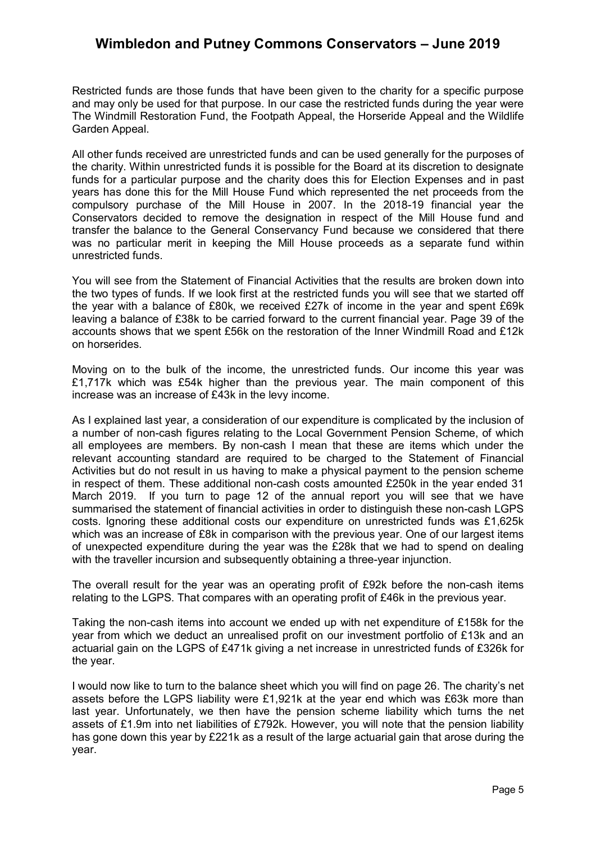Restricted funds are those funds that have been given to the charity for a specific purpose and may only be used for that purpose. In our case the restricted funds during the year were The Windmill Restoration Fund, the Footpath Appeal, the Horseride Appeal and the Wildlife Garden Appeal.

All other funds received are unrestricted funds and can be used generally for the purposes of the charity. Within unrestricted funds it is possible for the Board at its discretion to designate funds for a particular purpose and the charity does this for Election Expenses and in past years has done this for the Mill House Fund which represented the net proceeds from the compulsory purchase of the Mill House in 2007. In the 2018-19 financial year the Conservators decided to remove the designation in respect of the Mill House fund and transfer the balance to the General Conservancy Fund because we considered that there was no particular merit in keeping the Mill House proceeds as a separate fund within unrestricted funds.

You will see from the Statement of Financial Activities that the results are broken down into the two types of funds. If we look first at the restricted funds you will see that we started off the year with a balance of £80k, we received £27k of income in the year and spent £69k leaving a balance of £38k to be carried forward to the current financial year. Page 39 of the accounts shows that we spent £56k on the restoration of the Inner Windmill Road and £12k on horserides.

Moving on to the bulk of the income, the unrestricted funds. Our income this year was £1,717k which was £54k higher than the previous year. The main component of this increase was an increase of £43k in the levy income.

As I explained last year, a consideration of our expenditure is complicated by the inclusion of a number of non-cash figures relating to the Local Government Pension Scheme, of which all employees are members. By non-cash I mean that these are items which under the relevant accounting standard are required to be charged to the Statement of Financial Activities but do not result in us having to make a physical payment to the pension scheme in respect of them. These additional non-cash costs amounted £250k in the year ended 31 March 2019. If you turn to page 12 of the annual report you will see that we have summarised the statement of financial activities in order to distinguish these non-cash LGPS costs. Ignoring these additional costs our expenditure on unrestricted funds was £1,625k which was an increase of £8k in comparison with the previous year. One of our largest items of unexpected expenditure during the year was the £28k that we had to spend on dealing with the traveller incursion and subsequently obtaining a three-year injunction.

The overall result for the year was an operating profit of £92k before the non-cash items relating to the LGPS. That compares with an operating profit of £46k in the previous year.

Taking the non-cash items into account we ended up with net expenditure of £158k for the year from which we deduct an unrealised profit on our investment portfolio of £13k and an actuarial gain on the LGPS of £471k giving a net increase in unrestricted funds of £326k for the year.

I would now like to turn to the balance sheet which you will find on page 26. The charity's net assets before the LGPS liability were £1,921k at the year end which was £63k more than last year. Unfortunately, we then have the pension scheme liability which turns the net assets of £1.9m into net liabilities of £792k. However, you will note that the pension liability has gone down this year by £221k as a result of the large actuarial gain that arose during the year.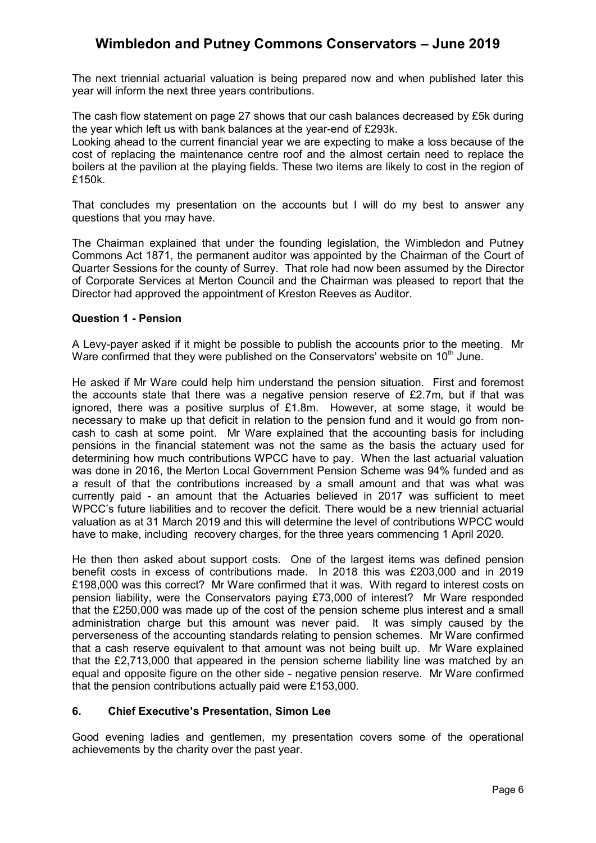The next triennial actuarial valuation is being prepared now and when published later this year will inform the next three years contributions.

The cash flow statement on page 27 shows that our cash balances decreased by £5k during the year which left us with bank balances at the year-end of £293k.

Looking ahead to the current financial year we are expecting to make a loss because of the cost of replacing the maintenance centre roof and the almost certain need to replace the boilers at the pavilion at the playing fields. These two items are likely to cost in the region of £150k.

That concludes my presentation on the accounts but I will do my best to answer any questions that you may have.

The Chairman explained that under the founding legislation, the Wimbledon and Putney Commons Act 1871, the permanent auditor was appointed by the Chairman of the Court of Quarter Sessions for the county of Surrey. That role had now been assumed by the Director of Corporate Services at Merton Council and the Chairman was pleased to report that the Director had approved the appointment of Kreston Reeves as Auditor.

#### **Question 1 - Pension**

A Levy-payer asked if it might be possible to publish the accounts prior to the meeting. Mr Ware confirmed that they were published on the Conservators' website on  $10<sup>th</sup>$  June.

He asked if Mr Ware could help him understand the pension situation. First and foremost the accounts state that there was a negative pension reserve of £2.7m, but if that was ignored, there was a positive surplus of £1.8m. However, at some stage, it would be necessary to make up that deficit in relation to the pension fund and it would go from noncash to cash at some point. Mr Ware explained that the accounting basis for including pensions in the financial statement was not the same as the basis the actuary used for determining how much contributions WPCC have to pay. When the last actuarial valuation was done in 2016, the Merton Local Government Pension Scheme was 94% funded and as a result of that the contributions increased by a small amount and that was what was currently paid - an amount that the Actuaries believed in 2017 was sufficient to meet WPCC's future liabilities and to recover the deficit. There would be a new triennial actuarial valuation as at 31 March 2019 and this will determine the level of contributions WPCC would have to make, including recovery charges, for the three years commencing 1 April 2020.

He then then asked about support costs. One of the largest items was defined pension benefit costs in excess of contributions made. In 2018 this was £203,000 and in 2019 £198,000 was this correct? Mr Ware confirmed that it was. With regard to interest costs on pension liability, were the Conservators paying £73,000 of interest? Mr Ware responded that the £250,000 was made up of the cost of the pension scheme plus interest and a small administration charge but this amount was never paid. It was simply caused by the perverseness of the accounting standards relating to pension schemes. Mr Ware confirmed that a cash reserve equivalent to that amount was not being built up. Mr Ware explained that the £2,713,000 that appeared in the pension scheme liability line was matched by an equal and opposite figure on the other side - negative pension reserve. Mr Ware confirmed that the pension contributions actually paid were £153,000.

## **6. Chief Executive's Presentation, Simon Lee**

Good evening ladies and gentlemen, my presentation covers some of the operational achievements by the charity over the past year.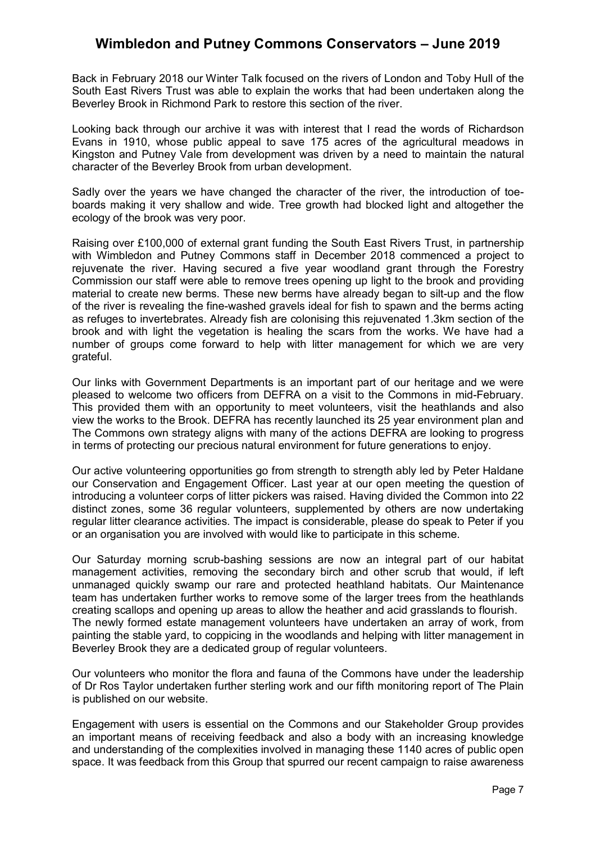Back in February 2018 our Winter Talk focused on the rivers of London and Toby Hull of the South East Rivers Trust was able to explain the works that had been undertaken along the Beverley Brook in Richmond Park to restore this section of the river.

Looking back through our archive it was with interest that I read the words of Richardson Evans in 1910, whose public appeal to save 175 acres of the agricultural meadows in Kingston and Putney Vale from development was driven by a need to maintain the natural character of the Beverley Brook from urban development.

Sadly over the years we have changed the character of the river, the introduction of toeboards making it very shallow and wide. Tree growth had blocked light and altogether the ecology of the brook was very poor.

Raising over £100,000 of external grant funding the South East Rivers Trust, in partnership with Wimbledon and Putney Commons staff in December 2018 commenced a project to rejuvenate the river. Having secured a five year woodland grant through the Forestry Commission our staff were able to remove trees opening up light to the brook and providing material to create new berms. These new berms have already began to silt-up and the flow of the river is revealing the fine-washed gravels ideal for fish to spawn and the berms acting as refuges to invertebrates. Already fish are colonising this rejuvenated 1.3km section of the brook and with light the vegetation is healing the scars from the works. We have had a number of groups come forward to help with litter management for which we are very grateful.

Our links with Government Departments is an important part of our heritage and we were pleased to welcome two officers from DEFRA on a visit to the Commons in mid-February. This provided them with an opportunity to meet volunteers, visit the heathlands and also view the works to the Brook. DEFRA has recently launched its 25 year environment plan and The Commons own strategy aligns with many of the actions DEFRA are looking to progress in terms of protecting our precious natural environment for future generations to enjoy.

Our active volunteering opportunities go from strength to strength ably led by Peter Haldane our Conservation and Engagement Officer. Last year at our open meeting the question of introducing a volunteer corps of litter pickers was raised. Having divided the Common into 22 distinct zones, some 36 regular volunteers, supplemented by others are now undertaking regular litter clearance activities. The impact is considerable, please do speak to Peter if you or an organisation you are involved with would like to participate in this scheme.

Our Saturday morning scrub-bashing sessions are now an integral part of our habitat management activities, removing the secondary birch and other scrub that would, if left unmanaged quickly swamp our rare and protected heathland habitats. Our Maintenance team has undertaken further works to remove some of the larger trees from the heathlands creating scallops and opening up areas to allow the heather and acid grasslands to flourish. The newly formed estate management volunteers have undertaken an array of work, from painting the stable yard, to coppicing in the woodlands and helping with litter management in Beverley Brook they are a dedicated group of regular volunteers.

Our volunteers who monitor the flora and fauna of the Commons have under the leadership of Dr Ros Taylor undertaken further sterling work and our fifth monitoring report of The Plain is published on our website.

Engagement with users is essential on the Commons and our Stakeholder Group provides an important means of receiving feedback and also a body with an increasing knowledge and understanding of the complexities involved in managing these 1140 acres of public open space. It was feedback from this Group that spurred our recent campaign to raise awareness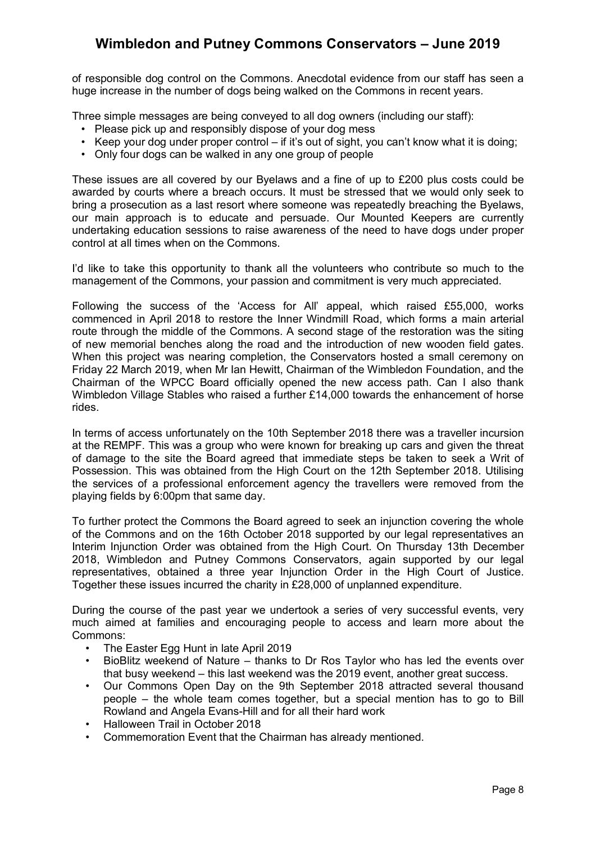of responsible dog control on the Commons. Anecdotal evidence from our staff has seen a huge increase in the number of dogs being walked on the Commons in recent years.

Three simple messages are being conveyed to all dog owners (including our staff):

- Please pick up and responsibly dispose of your dog mess
- Keep your dog under proper control if it's out of sight, you can't know what it is doing;
- Only four dogs can be walked in any one group of people

These issues are all covered by our Byelaws and a fine of up to £200 plus costs could be awarded by courts where a breach occurs. It must be stressed that we would only seek to bring a prosecution as a last resort where someone was repeatedly breaching the Byelaws, our main approach is to educate and persuade. Our Mounted Keepers are currently undertaking education sessions to raise awareness of the need to have dogs under proper control at all times when on the Commons.

I'd like to take this opportunity to thank all the volunteers who contribute so much to the management of the Commons, your passion and commitment is very much appreciated.

Following the success of the 'Access for All' appeal, which raised £55,000, works commenced in April 2018 to restore the Inner Windmill Road, which forms a main arterial route through the middle of the Commons. A second stage of the restoration was the siting of new memorial benches along the road and the introduction of new wooden field gates. When this project was nearing completion, the Conservators hosted a small ceremony on Friday 22 March 2019, when Mr Ian Hewitt, Chairman of the Wimbledon Foundation, and the Chairman of the WPCC Board officially opened the new access path. Can I also thank Wimbledon Village Stables who raised a further £14,000 towards the enhancement of horse rides.

In terms of access unfortunately on the 10th September 2018 there was a traveller incursion at the REMPF. This was a group who were known for breaking up cars and given the threat of damage to the site the Board agreed that immediate steps be taken to seek a Writ of Possession. This was obtained from the High Court on the 12th September 2018. Utilising the services of a professional enforcement agency the travellers were removed from the playing fields by 6:00pm that same day.

To further protect the Commons the Board agreed to seek an injunction covering the whole of the Commons and on the 16th October 2018 supported by our legal representatives an Interim Injunction Order was obtained from the High Court. On Thursday 13th December 2018, Wimbledon and Putney Commons Conservators, again supported by our legal representatives, obtained a three year Injunction Order in the High Court of Justice. Together these issues incurred the charity in £28,000 of unplanned expenditure.

During the course of the past year we undertook a series of very successful events, very much aimed at families and encouraging people to access and learn more about the Commons:

- The Easter Egg Hunt in late April 2019
- BioBlitz weekend of Nature thanks to Dr Ros Taylor who has led the events over that busy weekend – this last weekend was the 2019 event, another great success.
- Our Commons Open Day on the 9th September 2018 attracted several thousand people – the whole team comes together, but a special mention has to go to Bill Rowland and Angela Evans-Hill and for all their hard work
- Halloween Trail in October 2018
- Commemoration Event that the Chairman has already mentioned.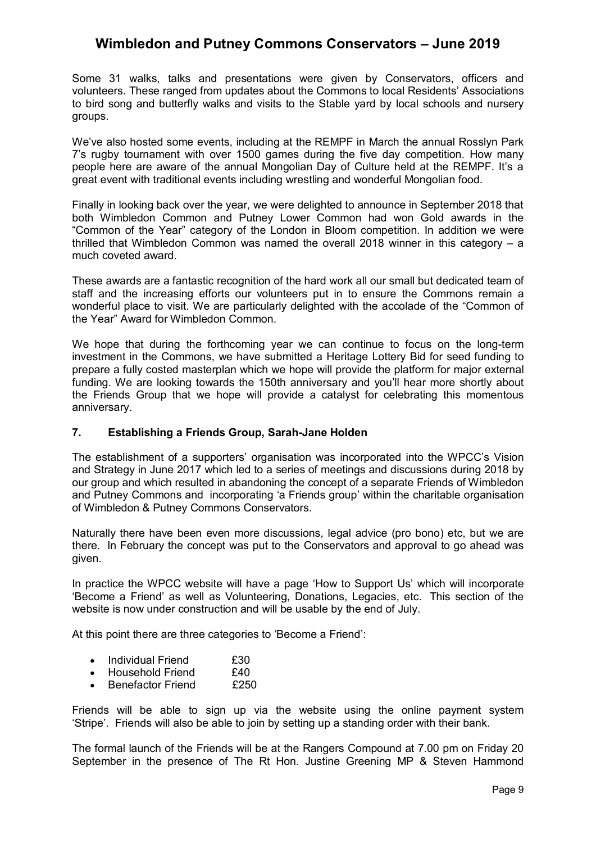Some 31 walks, talks and presentations were given by Conservators, officers and volunteers. These ranged from updates about the Commons to local Residents' Associations to bird song and butterfly walks and visits to the Stable yard by local schools and nursery groups.

We've also hosted some events, including at the REMPF in March the annual Rosslyn Park 7's rugby tournament with over 1500 games during the five day competition. How many people here are aware of the annual Mongolian Day of Culture held at the REMPF. It's a great event with traditional events including wrestling and wonderful Mongolian food.

Finally in looking back over the year, we were delighted to announce in September 2018 that both Wimbledon Common and Putney Lower Common had won Gold awards in the "Common of the Year" category of the London in Bloom competition. In addition we were thrilled that Wimbledon Common was named the overall 2018 winner in this category – a much coveted award.

These awards are a fantastic recognition of the hard work all our small but dedicated team of staff and the increasing efforts our volunteers put in to ensure the Commons remain a wonderful place to visit. We are particularly delighted with the accolade of the "Common of the Year" Award for Wimbledon Common.

We hope that during the forthcoming year we can continue to focus on the long-term investment in the Commons, we have submitted a Heritage Lottery Bid for seed funding to prepare a fully costed masterplan which we hope will provide the platform for major external funding. We are looking towards the 150th anniversary and you'll hear more shortly about the Friends Group that we hope will provide a catalyst for celebrating this momentous anniversary.

## **7. Establishing a Friends Group, Sarah-Jane Holden**

The establishment of a supporters' organisation was incorporated into the WPCC's Vision and Strategy in June 2017 which led to a series of meetings and discussions during 2018 by our group and which resulted in abandoning the concept of a separate Friends of Wimbledon and Putney Commons and incorporating 'a Friends group' within the charitable organisation of Wimbledon & Putney Commons Conservators.

Naturally there have been even more discussions, legal advice (pro bono) etc, but we are there. In February the concept was put to the Conservators and approval to go ahead was given.

In practice the WPCC website will have a page 'How to Support Us' which will incorporate 'Become a Friend' as well as Volunteering, Donations, Legacies, etc. This section of the website is now under construction and will be usable by the end of July.

At this point there are three categories to 'Become a Friend':

- Individual Friend £30<br>• Household Friend £40
- Household Friend £40<br>• Benefactor Friend £250
- Benefactor Friend

Friends will be able to sign up via the website using the online payment system 'Stripe'. Friends will also be able to join by setting up a standing order with their bank.

The formal launch of the Friends will be at the Rangers Compound at 7.00 pm on Friday 20 September in the presence of The Rt Hon. Justine Greening MP & Steven Hammond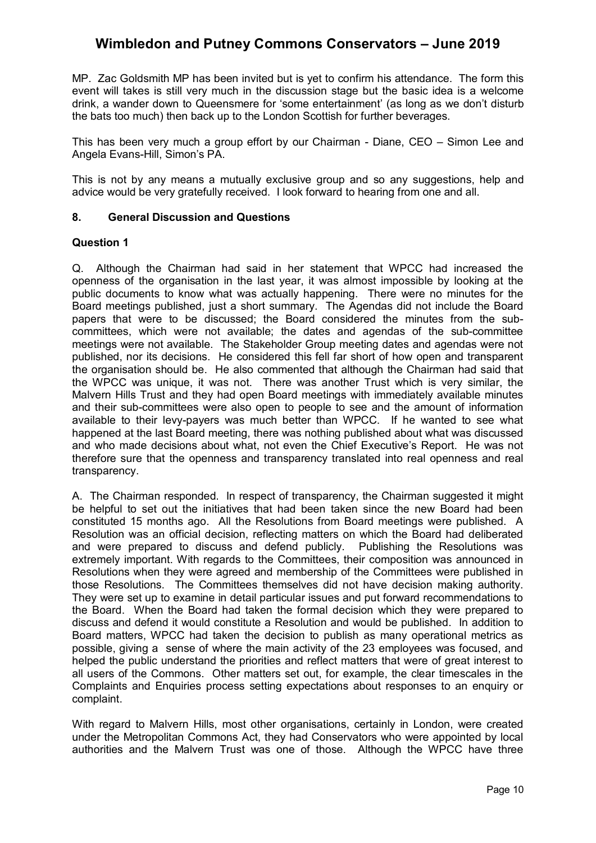MP. Zac Goldsmith MP has been invited but is yet to confirm his attendance. The form this event will takes is still very much in the discussion stage but the basic idea is a welcome drink, a wander down to Queensmere for 'some entertainment' (as long as we don't disturb the bats too much) then back up to the London Scottish for further beverages.

This has been very much a group effort by our Chairman - Diane, CEO – Simon Lee and Angela Evans-Hill, Simon's PA.

This is not by any means a mutually exclusive group and so any suggestions, help and advice would be very gratefully received. I look forward to hearing from one and all.

## **8. General Discussion and Questions**

#### **Question 1**

Q. Although the Chairman had said in her statement that WPCC had increased the openness of the organisation in the last year, it was almost impossible by looking at the public documents to know what was actually happening. There were no minutes for the Board meetings published, just a short summary. The Agendas did not include the Board papers that were to be discussed; the Board considered the minutes from the subcommittees, which were not available; the dates and agendas of the sub-committee meetings were not available. The Stakeholder Group meeting dates and agendas were not published, nor its decisions. He considered this fell far short of how open and transparent the organisation should be. He also commented that although the Chairman had said that the WPCC was unique, it was not. There was another Trust which is very similar, the Malvern Hills Trust and they had open Board meetings with immediately available minutes and their sub-committees were also open to people to see and the amount of information available to their levy-payers was much better than WPCC. If he wanted to see what happened at the last Board meeting, there was nothing published about what was discussed and who made decisions about what, not even the Chief Executive's Report. He was not therefore sure that the openness and transparency translated into real openness and real transparency.

A. The Chairman responded. In respect of transparency, the Chairman suggested it might be helpful to set out the initiatives that had been taken since the new Board had been constituted 15 months ago. All the Resolutions from Board meetings were published. A Resolution was an official decision, reflecting matters on which the Board had deliberated and were prepared to discuss and defend publicly. Publishing the Resolutions was extremely important. With regards to the Committees, their composition was announced in Resolutions when they were agreed and membership of the Committees were published in those Resolutions. The Committees themselves did not have decision making authority. They were set up to examine in detail particular issues and put forward recommendations to the Board. When the Board had taken the formal decision which they were prepared to discuss and defend it would constitute a Resolution and would be published. In addition to Board matters, WPCC had taken the decision to publish as many operational metrics as possible, giving a sense of where the main activity of the 23 employees was focused, and helped the public understand the priorities and reflect matters that were of great interest to all users of the Commons. Other matters set out, for example, the clear timescales in the Complaints and Enquiries process setting expectations about responses to an enquiry or complaint.

With regard to Malvern Hills, most other organisations, certainly in London, were created under the Metropolitan Commons Act, they had Conservators who were appointed by local authorities and the Malvern Trust was one of those. Although the WPCC have three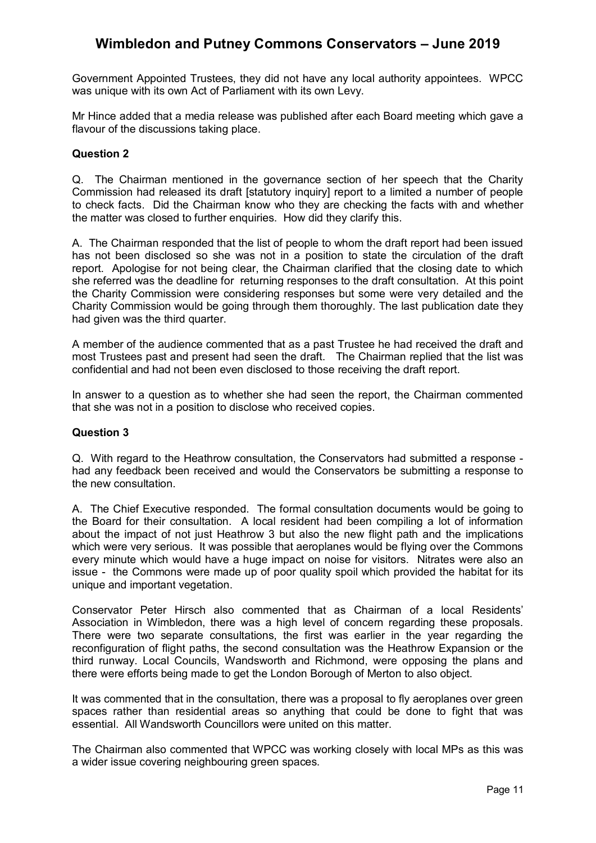Government Appointed Trustees, they did not have any local authority appointees. WPCC was unique with its own Act of Parliament with its own Levy.

Mr Hince added that a media release was published after each Board meeting which gave a flavour of the discussions taking place.

#### **Question 2**

Q. The Chairman mentioned in the governance section of her speech that the Charity Commission had released its draft [statutory inquiry] report to a limited a number of people to check facts. Did the Chairman know who they are checking the facts with and whether the matter was closed to further enquiries. How did they clarify this.

A. The Chairman responded that the list of people to whom the draft report had been issued has not been disclosed so she was not in a position to state the circulation of the draft report. Apologise for not being clear, the Chairman clarified that the closing date to which she referred was the deadline for returning responses to the draft consultation. At this point the Charity Commission were considering responses but some were very detailed and the Charity Commission would be going through them thoroughly. The last publication date they had given was the third quarter.

A member of the audience commented that as a past Trustee he had received the draft and most Trustees past and present had seen the draft. The Chairman replied that the list was confidential and had not been even disclosed to those receiving the draft report.

In answer to a question as to whether she had seen the report, the Chairman commented that she was not in a position to disclose who received copies.

## **Question 3**

Q. With regard to the Heathrow consultation, the Conservators had submitted a response had any feedback been received and would the Conservators be submitting a response to the new consultation.

A. The Chief Executive responded. The formal consultation documents would be going to the Board for their consultation. A local resident had been compiling a lot of information about the impact of not just Heathrow 3 but also the new flight path and the implications which were very serious. It was possible that aeroplanes would be flying over the Commons every minute which would have a huge impact on noise for visitors. Nitrates were also an issue - the Commons were made up of poor quality spoil which provided the habitat for its unique and important vegetation.

Conservator Peter Hirsch also commented that as Chairman of a local Residents' Association in Wimbledon, there was a high level of concern regarding these proposals. There were two separate consultations, the first was earlier in the year regarding the reconfiguration of flight paths, the second consultation was the Heathrow Expansion or the third runway. Local Councils, Wandsworth and Richmond, were opposing the plans and there were efforts being made to get the London Borough of Merton to also object.

It was commented that in the consultation, there was a proposal to fly aeroplanes over green spaces rather than residential areas so anything that could be done to fight that was essential. All Wandsworth Councillors were united on this matter.

The Chairman also commented that WPCC was working closely with local MPs as this was a wider issue covering neighbouring green spaces.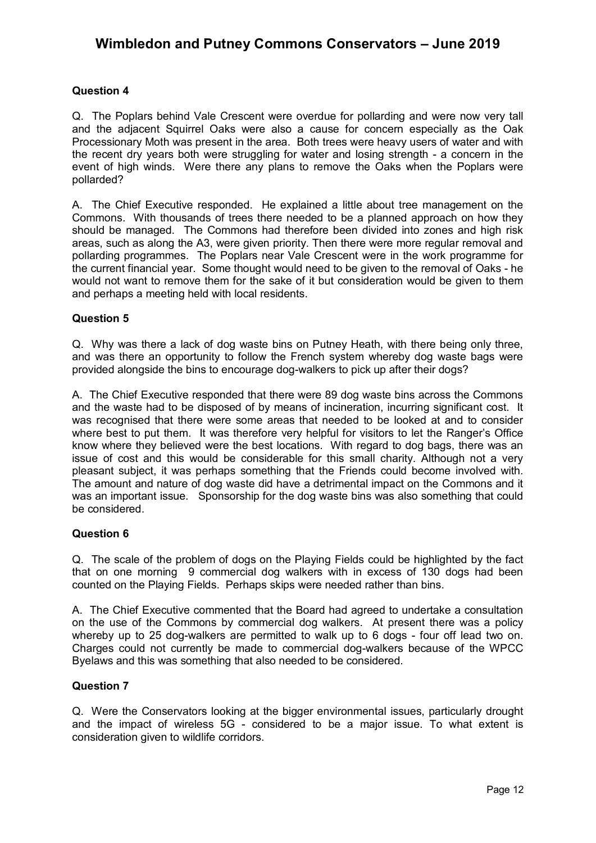## **Question 4**

Q. The Poplars behind Vale Crescent were overdue for pollarding and were now very tall and the adjacent Squirrel Oaks were also a cause for concern especially as the Oak Processionary Moth was present in the area. Both trees were heavy users of water and with the recent dry years both were struggling for water and losing strength - a concern in the event of high winds. Were there any plans to remove the Oaks when the Poplars were pollarded?

A. The Chief Executive responded. He explained a little about tree management on the Commons. With thousands of trees there needed to be a planned approach on how they should be managed. The Commons had therefore been divided into zones and high risk areas, such as along the A3, were given priority. Then there were more regular removal and pollarding programmes. The Poplars near Vale Crescent were in the work programme for the current financial year. Some thought would need to be given to the removal of Oaks - he would not want to remove them for the sake of it but consideration would be given to them and perhaps a meeting held with local residents.

## **Question 5**

Q. Why was there a lack of dog waste bins on Putney Heath, with there being only three, and was there an opportunity to follow the French system whereby dog waste bags were provided alongside the bins to encourage dog-walkers to pick up after their dogs?

A. The Chief Executive responded that there were 89 dog waste bins across the Commons and the waste had to be disposed of by means of incineration, incurring significant cost. It was recognised that there were some areas that needed to be looked at and to consider where best to put them. It was therefore very helpful for visitors to let the Ranger's Office know where they believed were the best locations. With regard to dog bags, there was an issue of cost and this would be considerable for this small charity. Although not a very pleasant subject, it was perhaps something that the Friends could become involved with. The amount and nature of dog waste did have a detrimental impact on the Commons and it was an important issue. Sponsorship for the dog waste bins was also something that could be considered.

## **Question 6**

Q. The scale of the problem of dogs on the Playing Fields could be highlighted by the fact that on one morning 9 commercial dog walkers with in excess of 130 dogs had been counted on the Playing Fields. Perhaps skips were needed rather than bins.

A. The Chief Executive commented that the Board had agreed to undertake a consultation on the use of the Commons by commercial dog walkers. At present there was a policy whereby up to 25 dog-walkers are permitted to walk up to 6 dogs - four off lead two on. Charges could not currently be made to commercial dog-walkers because of the WPCC Byelaws and this was something that also needed to be considered.

## **Question 7**

Q. Were the Conservators looking at the bigger environmental issues, particularly drought and the impact of wireless 5G - considered to be a major issue. To what extent is consideration given to wildlife corridors.